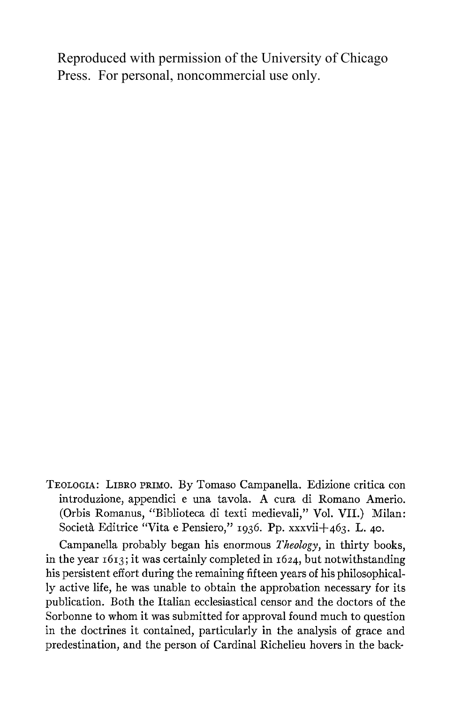Reproduced with permission of the University of Chicago Press. For personal, noncommercial use only.

**TEOLOGIA: LIBRO PRIMO. By Tomaso Campanella. Edizione critica con introduzione, appendici e una tavola. A cura di Romano Amerio. (Orbis Romanus, "Biblioteca di texti medievali," Vol. VII.) Milan:**  Società Editrice "Vita e Pensiero," <sup>1936</sup>. Pp. xxxvii+463. L. 40.

**Campanella probably began his enormous Theology, in thirty books, in the year i6I3; it was certainly completed in i624, but notwithstanding his persistent effort during the remaining fifteen years of his philosophically active life, he was unable to obtain the approbation necessary for its publication. Both the Italian ecclesiastical censor and the doctors of the Sorbonne to whom it was submitted for approval found much to question in the doctrines it contained, particularly in the analysis of grace and predestination, and the person of Cardinal Richelieu hovers in the back-**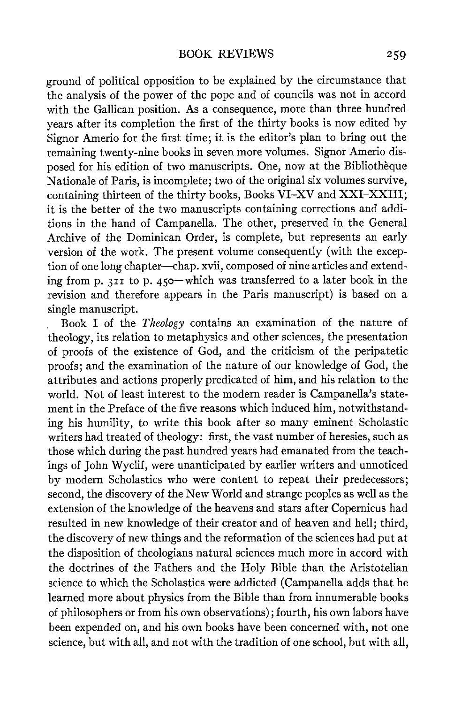**ground of political opposition to be explained by the circumstance that the analysis of the power of the pope and of councils was not in accord**  with the Gallican position. As a consequence, more than three hundred **years after its completion the first of the thirty books is now edited by Signor Amerio for the first time; it is the editor's plan to bring out the remaining twenty-nine books in seven more volumes. Signor Amerio disposed for his edition of two manuscripts. One, now at the Bibliotheque Nationale of Paris, is incomplete; two of the original six volumes survive, containing thirteen of the thirty books, Books VI-XV and XXI-XXIII; it is the better of the two manuscripts containing corrections and additions in the hand of Campanella. The other, preserved in the General Archive of the Dominican Order, is complete, but represents an early version of the work. The present volume consequently (with the exception of one long chapter-chap. xvii, composed of nine articles and extending from p. 3II to p. 450-which was transferred to a later book in the revision and therefore appears in the Paris manuscript) is based on a single manuscript.** 

**Book I of the Theology contains an examination of the nature of theology, its relation to metaphysics and other sciences, the presentation of proofs of the existence of God, and the criticism of the peripatetic proofs; and the examination of the nature of our knowledge of God, the attributes and actions properly predicated of him, and his relation to the world. Not of least interest to the modern reader is Campanella's statement in the Preface of the five reasons which induced him, notwithstanding his humility, to write this book after so many eminent Scholastic writers had treated of theology: first, the vast number of heresies, such as those which during the past hundred years had emanated from the teachings of John Wyclif, were unanticipated by earlier writers and unnoticed by modern Scholastics who were content to repeat their predecessors; second, the discovery of the New World and strange peoples as well as the extension of the knowledge of the heavens and stars after Copernicus had resulted in new knowledge of their creator and of heaven and hell; third, the discovery of new things and the reformation of the sciences had put at the disposition of theologians natural sciences much more in accord with the doctrines of the Fathers and the Holy Bible than the Aristotelian science to which the Scholastics were addicted (Campanella adds that he learned more about physics from the Bible than from innumerable books of philosophers or from his own observations); fourth, his own labors have been expended on, and his own books have been concerned with, not one science, but with all, and not with the tradition of one school, but with all,**